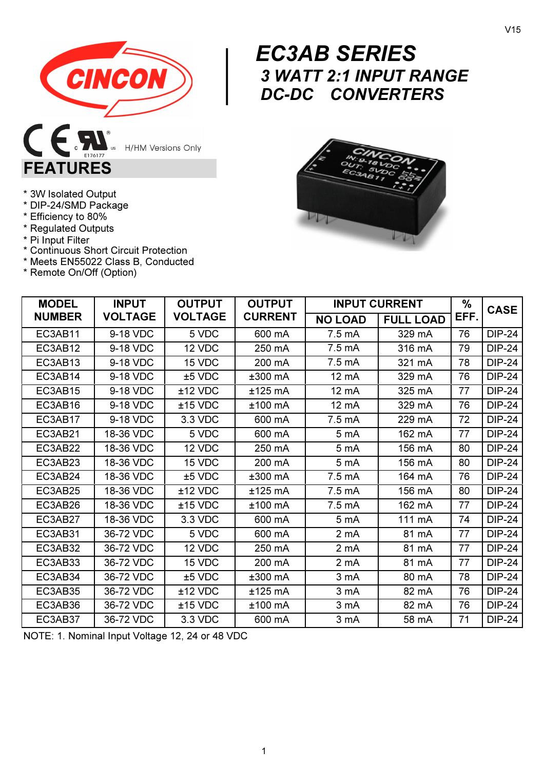

**H/HM Versions Only** 

# EC3AB SERIES 3 WATT 2:1 INPUT RANGE DC-DC CONVERTERS



| * 3W Isolated Output |  |
|----------------------|--|
|                      |  |

FEATURES

- \* DIP-24/SMD Package
- \* Efficiency to 80%
- \* Regulated Outputs
- \* Pi Input Filter
- \* Continuous Short Circuit Protection
- \* Meets EN55022 Class B, Conducted
- \* Remote On/Off (Option)

| <b>MODEL</b>  | <b>INPUT</b>   | <b>OUTPUT</b>  | <b>OUTPUT</b>  |                 | <b>INPUT CURRENT</b> | %    | <b>CASE</b>   |
|---------------|----------------|----------------|----------------|-----------------|----------------------|------|---------------|
| <b>NUMBER</b> | <b>VOLTAGE</b> | <b>VOLTAGE</b> | <b>CURRENT</b> | <b>NO LOAD</b>  | <b>FULL LOAD</b>     | EFF. |               |
| EC3AB11       | 9-18 VDC       | 5 VDC          | 600 mA         | 7.5 mA          | 329 mA               | 76   | <b>DIP-24</b> |
| EC3AB12       | 9-18 VDC       | 12 VDC         | 250 mA         | 7.5 mA          | 316 mA               | 79   | <b>DIP-24</b> |
| EC3AB13       | 9-18 VDC       | 15 VDC         | 200 mA         | 7.5 mA          | 321 mA               | 78   | <b>DIP-24</b> |
| EC3AB14       | 9-18 VDC       | $±5$ VDC       | $±300$ mA      | 12 mA           | 329 mA               | 76   | <b>DIP-24</b> |
| EC3AB15       | 9-18 VDC       | $±12$ VDC      | ±125 mA        | 12 mA           | 325 mA               | 77   | <b>DIP-24</b> |
| EC3AB16       | 9-18 VDC       | $±15$ VDC      | $±100$ mA      | 12 mA           | 329 mA               | 76   | <b>DIP-24</b> |
| EC3AB17       | 9-18 VDC       | 3.3 VDC        | 600 mA         | 7.5 mA          | 229 mA               | 72   | <b>DIP-24</b> |
| EC3AB21       | 18-36 VDC      | 5 VDC          | 600 mA         | 5 mA            | 162 mA               | 77   | <b>DIP-24</b> |
| EC3AB22       | 18-36 VDC      | 12 VDC         | 250 mA         | 5 <sub>mA</sub> | 156 mA               | 80   | <b>DIP-24</b> |
| EC3AB23       | 18-36 VDC      | 15 VDC         | 200 mA         | 5 <sub>mA</sub> | 156 mA               | 80   | <b>DIP-24</b> |
| EC3AB24       | 18-36 VDC      | $±5$ VDC       | $±300$ mA      | 7.5 mA          | 164 mA               | 76   | <b>DIP-24</b> |
| EC3AB25       | 18-36 VDC      | $±12$ VDC      | $±125$ mA      | 7.5 mA          | 156 mA               | 80   | <b>DIP-24</b> |
| EC3AB26       | 18-36 VDC      | $±15$ VDC      | $±100$ mA      | 7.5 mA          | 162 mA               | 77   | <b>DIP-24</b> |
| EC3AB27       | 18-36 VDC      | 3.3 VDC        | 600 mA         | 5 mA            | 111 mA               | 74   | <b>DIP-24</b> |
| EC3AB31       | 36-72 VDC      | 5 VDC          | 600 mA         | 2 mA            | 81 mA                | 77   | <b>DIP-24</b> |
| EC3AB32       | 36-72 VDC      | 12 VDC         | 250 mA         | 2 mA            | 81 mA                | 77   | <b>DIP-24</b> |
| EC3AB33       | 36-72 VDC      | 15 VDC         | 200 mA         | 2 mA            | 81 mA                | 77   | <b>DIP-24</b> |
| EC3AB34       | 36-72 VDC      | ±5 VDC         | $±300$ mA      | 3 mA            | 80 mA                | 78   | <b>DIP-24</b> |
| EC3AB35       | 36-72 VDC      | $±12$ VDC      | ±125 mA        | 3 mA            | 82 mA                | 76   | <b>DIP-24</b> |
| EC3AB36       | 36-72 VDC      | $±15$ VDC      | ±100 mA        | 3 mA            | 82 mA                | 76   | <b>DIP-24</b> |
| EC3AB37       | 36-72 VDC      | 3.3 VDC        | 600 mA         | 3 mA            | 58 mA                | 71   | <b>DIP-24</b> |

NOTE: 1. Nominal Input Voltage 12, 24 or 48 VDC